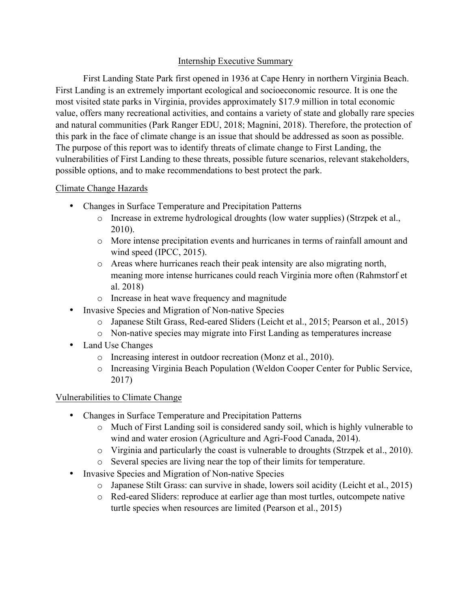## Internship Executive Summary

First Landing State Park first opened in 1936 at Cape Henry in northern Virginia Beach. First Landing is an extremely important ecological and socioeconomic resource. It is one the most visited state parks in Virginia, provides approximately \$17.9 million in total economic value, offers many recreational activities, and contains a variety of state and globally rare species and natural communities (Park Ranger EDU, 2018; Magnini, 2018). Therefore, the protection of this park in the face of climate change is an issue that should be addressed as soon as possible. The purpose of this report was to identify threats of climate change to First Landing, the vulnerabilities of First Landing to these threats, possible future scenarios, relevant stakeholders, possible options, and to make recommendations to best protect the park.

### Climate Change Hazards

- Changes in Surface Temperature and Precipitation Patterns
	- o Increase in extreme hydrological droughts (low water supplies) (Strzpek et al., 2010).
	- o More intense precipitation events and hurricanes in terms of rainfall amount and wind speed (IPCC, 2015).
	- o Areas where hurricanes reach their peak intensity are also migrating north, meaning more intense hurricanes could reach Virginia more often (Rahmstorf et al. 2018)
	- o Increase in heat wave frequency and magnitude
- Invasive Species and Migration of Non-native Species
	- o Japanese Stilt Grass, Red-eared Sliders (Leicht et al., 2015; Pearson et al., 2015)
	- o Non-native species may migrate into First Landing as temperatures increase
- Land Use Changes
	- o Increasing interest in outdoor recreation (Monz et al., 2010).
	- o Increasing Virginia Beach Population (Weldon Cooper Center for Public Service, 2017)

# Vulnerabilities to Climate Change

- Changes in Surface Temperature and Precipitation Patterns
	- o Much of First Landing soil is considered sandy soil, which is highly vulnerable to wind and water erosion (Agriculture and Agri-Food Canada, 2014).
	- o Virginia and particularly the coast is vulnerable to droughts (Strzpek et al., 2010).
	- o Several species are living near the top of their limits for temperature.
- Invasive Species and Migration of Non-native Species
	- o Japanese Stilt Grass: can survive in shade, lowers soil acidity (Leicht et al., 2015)
	- o Red-eared Sliders: reproduce at earlier age than most turtles, outcompete native turtle species when resources are limited (Pearson et al., 2015)